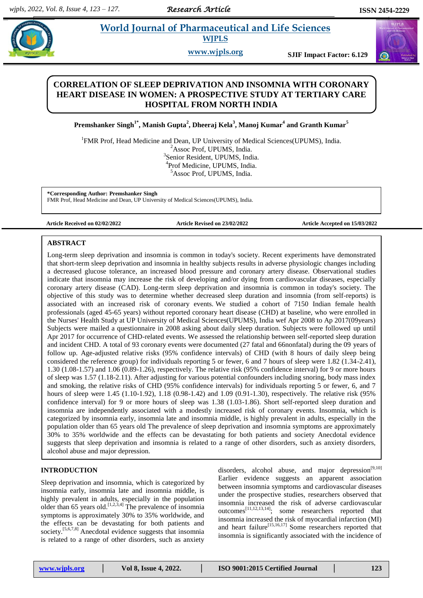# **Premier all Morld Journal of Pharmaceutical and Life Sciences**

**WJPLS**

**www.wjpls.org SJIF Impact Factor: 6.129**

# **CORRELATION OF SLEEP DEPRIVATION AND INSOMNIA WITH CORONARY HEART DISEASE IN WOMEN: A PROSPECTIVE STUDY AT TERTIARY CARE HOSPITAL FROM NORTH INDIA**

**Premshanker Singh1\* , Manish Gupta<sup>2</sup> , Dheeraj Kela<sup>3</sup> , Manoj Kumar<sup>4</sup> and Granth Kumar<sup>5</sup>**

<sup>1</sup>FMR Prof, Head Medicine and Dean, UP University of Medical Sciences(UPUMS), India. <sup>2</sup>Assoc Prof, UPUMS, India. 3 Senior Resident, UPUMS, India. 4 Prof Medicine, UPUMS, India. <sup>5</sup>Assoc Prof, UPUMS, India.

**\*Corresponding Author: Premshanker Singh**

FMR Prof, Head Medicine and Dean, UP University of Medical Sciences(UPUMS), India.

**Article Received on 02/02/2022 Article Revised on 23/02/2022 Article Accepted on 15/03/2022**

#### **ABSTRACT**

Long-term sleep deprivation and insomnia is common in today's society. Recent experiments have demonstrated that short-term sleep deprivation and insomnia in healthy subjects results in adverse physiologic changes including a decreased glucose tolerance, an increased blood pressure and coronary artery disease. Observational studies indicate that insomnia may increase the risk of developing and/or dying from cardiovascular diseases, especially coronary artery disease (CAD). Long-term sleep deprivation and insomnia is common in today's society. The objective of this study was to determine whether decreased sleep duration and insomnia (from self-reports) is associated with an increased risk of coronary events. We studied a cohort of 7150 Indian female health professionals (aged 45-65 years) without reported coronary heart disease (CHD) at baseline, who were enrolled in the Nurses' Health Study at UP University of Medical Sciences(UPUMS), India wef Apr 2008 to Ap 2017(09years) Subjects were mailed a questionnaire in 2008 asking about daily sleep duration. Subjects were followed up until Apr 2017 for occurrence of CHD-related events. We assessed the relationship between self-reported sleep duration and incident CHD. A total of 93 coronary events were documented (27 fatal and 66nonfatal) during the 09 years of follow up. Age-adjusted relative risks (95% confidence intervals) of CHD (with 8 hours of daily sleep being considered the reference group) for individuals reporting 5 or fewer, 6 and 7 hours of sleep were 1.82 (1.34-2.41), 1.30 (1.08-1.57) and 1.06 (0.89-1.26), respectively. The relative risk (95% confidence interval) for 9 or more hours of sleep was 1.57 (1.18-2.11). After adjusting for various potential confounders including snoring, body mass index and smoking, the relative risks of CHD (95% confidence intervals) for individuals reporting 5 or fewer, 6, and 7 hours of sleep were 1.45 (1.10-1.92), 1.18 (0.98-1.42) and 1.09 (0.91-1.30), respectively. The relative risk (95% confidence interval) for 9 or more hours of sleep was 1.38 (1.03-1.86). Short self-reported sleep duration and insomnia are independently associated with a modestly increased risk of coronary events. Insomnia, which is categorized by insomnia early, insomnia late and insomnia middle, is highly prevalent in adults, especially in the population older than 65 years old The prevalence of sleep deprivation and insomnia symptoms are approximately 30% to 35% worldwide and the effects can be devastating for both patients and society Anecdotal evidence suggests that sleep deprivation and insomnia is related to a range of other disorders, such as anxiety disorders, alcohol abuse and major depression.

# **INTRODUCTION**

Sleep deprivation and insomnia, which is categorized by insomnia early, insomnia late and insomnia middle, is highly prevalent in adults, especially in the population older than 65 years old.  $[1,2,3,4]$  The prevalence of insomnia symptoms is approximately 30% to 35% worldwide, and the effects can be devastating for both patients and society.<sup>[5,6,7,8]</sup> Anecdotal evidence suggests that insomnia is related to a range of other disorders, such as anxiety disorders, alcohol abuse, and major depression $[9,10]$ Earlier evidence suggests an apparent association between insomnia symptoms and cardiovascular diseases under the prospective studies, researchers observed that insomnia increased the risk of adverse cardiovascular outcomes<sup>[11,12,13,14]</sup>; some researchers reported that insomnia increased the risk of myocardial infarction (MI) and heart failure<sup>[15,16,17]</sup> Some researchers reported that insomnia is significantly associated with the incidence of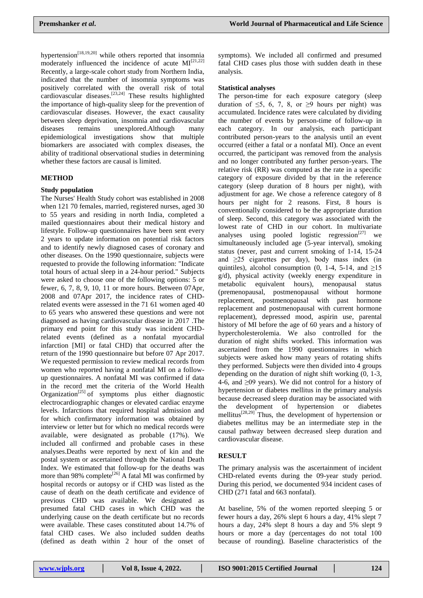hypertension<sup> $[18,19,20]$ </sup> while others reported that insomnia moderately influenced the incidence of acute  $MI^{[21,22]}$ Recently, a large-scale cohort study from Northern India, indicated that the number of insomnia symptoms was positively correlated with the overall risk of total cardiovascular diseases.<sup>[23,24]</sup> These results highlighted the importance of high-quality sleep for the prevention of cardiovascular diseases. However, the exact causality between sleep deprivation, insomnia and cardiovascular diseases remains unexplored.Although many epidemiological investigations show that multiple biomarkers are associated with complex diseases, the ability of traditional observational studies in determining whether these factors are causal is limited.

#### **METHOD**

#### **Study population**

The Nurses' Health Study cohort was established in 2008 when 121 70 females, married, registered nurses, aged 30 to 55 years and residing in north India, completed a mailed questionnaires about their medical history and lifestyle. Follow-up questionnaires have been sent every 2 years to update information on potential risk factors and to identify newly diagnosed cases of coronary and other diseases. On the 1990 questionnaire, subjects were requested to provide the following information: "Indicate total hours of actual sleep in a 24-hour period." Subjects were asked to choose one of the following options: 5 or fewer, 6, 7, 8, 9, 10, 11 or more hours. Between 07Apr, 2008 and 07Apr 2017, the incidence rates of CHDrelated events were assessed in the 71 61 women aged 40 to 65 years who answered these questions and were not diagnosed as having cardiovascular disease in 2017 .The primary end point for this study was incident CHDrelated events (defined as a nonfatal myocardial infarction [MI] or fatal CHD) that occurred after the return of the 1990 questionnaire but before 07 Apr 2017. We requested permission to review medical records from women who reported having a nonfatal MI on a followup questionnaires. A nonfatal MI was confirmed if data in the record met the criteria of the World Health Organization<sup>[25]</sup> of symptoms plus either diagnostic electrocardiographic changes or elevated cardiac enzyme levels. Infarctions that required hospital admission and for which confirmatory information was obtained by interview or letter but for which no medical records were available, were designated as probable (17%). We included all confirmed and probable cases in these analyses.Deaths were reported by next of kin and the postal system or ascertained through the National Death Index. We estimated that follow-up for the deaths was more than 98% complete<sup>[26]</sup> A fatal MI was confirmed by hospital records or autopsy or if CHD was listed as the cause of death on the death certificate and evidence of previous CHD was available. We designated as presumed fatal CHD cases in which CHD was the underlying cause on the death certificate but no records were available. These cases constituted about 14.7% of fatal CHD cases. We also included sudden deaths (defined as death within 2 hour of the onset of

symptoms). We included all confirmed and presumed fatal CHD cases plus those with sudden death in these analysis.

#### **Statistical analyses**

The person-time for each exposure category (sleep duration of  $\leq$ 5, 6, 7, 8, or  $\geq$ 9 hours per night) was accumulated. Incidence rates were calculated by dividing the number of events by person-time of follow-up in each category. In our analysis, each participant contributed person-years to the analysis until an event occurred (either a fatal or a nonfatal MI). Once an event occurred, the participant was removed from the analysis and no longer contributed any further person-years. The relative risk (RR) was computed as the rate in a specific category of exposure divided by that in the reference category (sleep duration of 8 hours per night), with adjustment for age. We chose a reference category of 8 hours per night for 2 reasons. First, 8 hours is conventionally considered to be the appropriate duration of sleep. Second, this category was associated with the lowest rate of CHD in our cohort. In multivariate analyses using pooled logistic regression<sup>[27]</sup> we simultaneously included age (5-year interval), smoking status (never, past and current smoking of 1-14, 15-24 and ≥25 cigarettes per day), body mass index (in quintiles), alcohol consumption (0, 1-4, 5-14, and  $\geq 15$ g/d), physical activity (weekly energy expenditure in metabolic equivalent hours), menopausal status (premenopausal, postmenopausal without hormone replacement, postmenopausal with past hormone replacement and postmenopausal with current hormone replacement), depressed mood, aspirin use, parental history of MI before the age of 60 years and a history of hypercholesterolemia. We also controlled for the duration of night shifts worked. This information was ascertained from the 1990 questionnaires in which subjects were asked how many years of rotating shifts they performed. Subjects were then divided into 4 groups depending on the duration of night shift working (0, 1-3, 4-6, and ≥09 years). We did not control for a history of hypertension or diabetes mellitus in the primary analysis because decreased sleep duration may be associated with the development of hypertension or diabetes mellitus<sup>[28,29]</sup> Thus, the development of hypertension or diabetes mellitus may be an intermediate step in the causal pathway between decreased sleep duration and cardiovascular disease.

#### **RESULT**

The primary analysis was the ascertainment of incident CHD-related events during the 09-year study period. During this period, we documented 934 incident cases of CHD (271 fatal and 663 nonfatal).

At baseline, 5% of the women reported sleeping 5 or fewer hours a day, 26% slept 6 hours a day, 41% slept 7 hours a day, 24% slept 8 hours a day and 5% slept 9 hours or more a day (percentages do not total 100 because of rounding). Baseline characteristics of the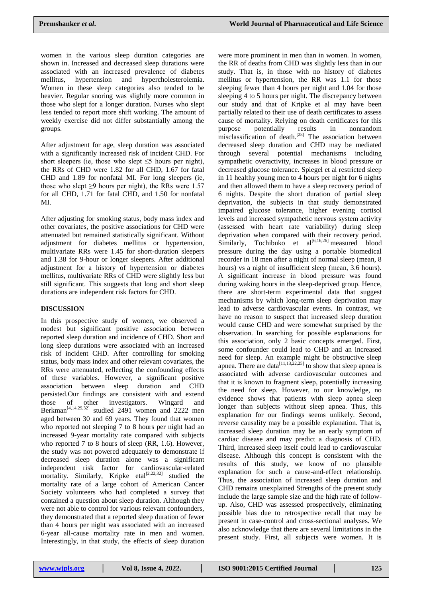women in the various sleep duration categories are shown in. Increased and decreased sleep durations were associated with an increased prevalence of diabetes mellitus, hypertension and hypercholesterolemia. Women in these sleep categories also tended to be heavier. Regular snoring was slightly more common in those who slept for a longer duration. Nurses who slept less tended to report more shift working. The amount of weekly exercise did not differ substantially among the groups.

After adjustment for age, sleep duration was associated with a significantly increased risk of incident CHD. For short sleepers (ie, those who slept  $\leq 5$  hours per night), the RRs of CHD were 1.82 for all CHD, 1.67 for fatal CHD and 1.89 for nonfatal MI. For long sleepers (ie, those who slept  $\geq$ 9 hours per night), the RRs were 1.57 for all CHD, 1.71 for fatal CHD, and 1.50 for nonfatal MI.

After adjusting for smoking status, body mass index and other covariates, the positive associations for CHD were attenuated but remained statistically significant. Without adjustment for diabetes mellitus or hypertension, multivariate RRs were 1.45 for short-duration sleepers and 1.38 for 9-hour or longer sleepers. After additional adjustment for a history of hypertension or diabetes mellitus, multivariate RRs of CHD were slightly less but still significant. This suggests that long and short sleep durations are independent risk factors for CHD.

# **DISCUSSION**

In this prospective study of women, we observed a modest but significant positive association between reported sleep duration and incidence of CHD. Short and long sleep durations were associated with an increased risk of incident CHD. After controlling for smoking status, body mass index and other relevant covariates, the RRs were attenuated, reflecting the confounding effects of these variables. However, a significant positive association between sleep duration and CHD persisted.Our findings are consistent with and extend those of other investigators. Wingard and Berkman<sup>[4,14,29,32]</sup> studied 2491 women and 2222 men aged between 30 and 69 years. They found that women who reported not sleeping 7 to 8 hours per night had an increased 9-year mortality rate compared with subjects who reported 7 to 8 hours of sleep (RR, 1.6). However, the study was not powered adequately to demonstrate if decreased sleep duration alone was a significant independent risk factor for cardiovascular-related mortality. Similarly, Kripke etal<sup>[2,22,32]</sup> studied the mortality rate of a large cohort of American Cancer Society volunteers who had completed a survey that contained a question about sleep duration. Although they were not able to control for various relevant confounders, they demonstrated that a reported sleep duration of fewer than 4 hours per night was associated with an increased 6-year all-cause mortality rate in men and women. Interestingly, in that study, the effects of sleep duration

were more prominent in men than in women. In women, the RR of deaths from CHD was slightly less than in our study. That is, in those with no history of diabetes mellitus or hypertension, the RR was 1.1 for those sleeping fewer than 4 hours per night and 1.04 for those sleeping 4 to 5 hours per night. The discrepancy between our study and that of Kripke et al may have been partially related to their use of death certificates to assess cause of mortality. Relying on death certificates for this purpose potentially results in nonrandom misclassification of death.<sup>[28]</sup> The association between decreased sleep duration and CHD may be mediated through several potential mechanisms including sympathetic overactivity, increases in blood pressure or decreased glucose tolerance. Spiegel et al restricted sleep in 11 healthy young men to 4 hours per night for 6 nights and then allowed them to have a sleep recovery period of 6 nights. Despite the short duration of partial sleep deprivation, the subjects in that study demonstrated impaired glucose tolerance, higher evening cortisol levels and increased sympathetic nervous system activity (assessed with heart rate variability) during sleep deprivation when compared with their recovery period. Similarly, Tochibuko et  $al^{[6,16,26]}$  measured blood pressure during the day using a portable biomedical recorder in 18 men after a night of normal sleep (mean, 8 hours) vs a night of insufficient sleep (mean, 3.6 hours). A significant increase in blood pressure was found during waking hours in the sleep-deprived group. Hence, there are short-term experimental data that suggest mechanisms by which long-term sleep deprivation may lead to adverse cardiovascular events. In contrast, we have no reason to suspect that increased sleep duration would cause CHD and were somewhat surprised by the observation. In searching for possible explanations for this association, only 2 basic concepts emerged. First, some confounder could lead to CHD and an increased need for sleep. An example might be obstructive sleep apnea. There are data<sup>[11,13,22,25]</sup> to show that sleep apnea is associated with adverse cardiovascular outcomes and that it is known to fragment sleep, potentially increasing the need for sleep. However, to our knowledge, no evidence shows that patients with sleep apnea sleep longer than subjects without sleep apnea. Thus, this explanation for our findings seems unlikely. Second, reverse causality may be a possible explanation. That is, increased sleep duration may be an early symptom of cardiac disease and may predict a diagnosis of CHD. Third, increased sleep itself could lead to cardiovascular disease. Although this concept is consistent with the results of this study, we know of no plausible explanation for such a cause-and-effect relationship. Thus, the association of increased sleep duration and CHD remains unexplained Strengths of the present study include the large sample size and the high rate of followup. Also, CHD was assessed prospectively, eliminating possible bias due to retrospective recall that may be present in case-control and cross-sectional analyses. We also acknowledge that there are several limitations in the present study. First, all subjects were women. It is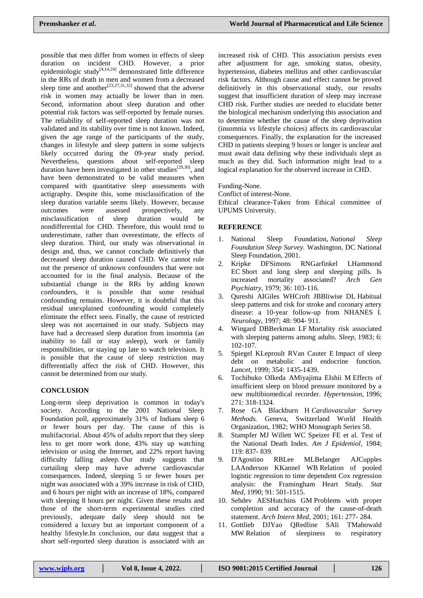possible that men differ from women in effects of sleep duration on incident CHD. However, a prior epidemiologic study<sup>[4,14,24]</sup> demonstrated little difference in the RRs of death in men and women from a decreased sleep time and another  $[23,27,31,32]$  showed that the adverse risk in women may actually be lower than in men. Second, information about sleep duration and other potential risk factors was self-reported by female nurses. The reliability of self-reported sleep duration was not validated and its stability over time is not known. Indeed, given the age range of the participants of the study, changes in lifestyle and sleep pattern in some subjects likely occurred during the 09-year study period. Nevertheless, questions about self-reported sleep duration have been investigated in other studies<sup>[29,30]</sup>, and have been demonstrated to be valid measures when compared with quantitative sleep assessments with actigraphy. Despite this, some misclassification of the sleep duration variable seems likely. However, because outcomes were assessed prospectively, any misclassification of sleep duration would be nondifferential for CHD. Therefore, this would tend to underestimate, rather than overestimate, the effects of sleep duration. Third, our study was observational in design and, thus, we cannot conclude definitively that decreased sleep duration caused CHD. We cannot rule out the presence of unknown confounders that were not accounted for in the final analysis. Because of the substantial change in the RRs by adding known confounders, it is possible that some residual confounding remains. However, it is doubtful that this residual unexplained confounding would completely eliminate the effect seen. Finally, the cause of restricted sleep was not ascertained in our study. Subjects may have had a decreased sleep duration from insomnia (an inability to fall or stay asleep), work or family responsibilities, or staying up late to watch television. It is possible that the cause of sleep restriction may differentially affect the risk of CHD. However, this cannot be determined from our study.

# **CONCLUSION**

Long-term sleep deprivation is common in today's society. According to the 2001 National Sleep Foundation poll, approximately 31% of Indians sleep 6 or fewer hours per day. The cause of this is multifactorial. About 45% of adults report that they sleep less to get more work done, 43% stay up watching television or using the Internet, and 22% report having difficulty falling asleep. Our study suggests that curtailing sleep may have adverse cardiovascular consequences. Indeed, sleeping 5 or fewer hours per night was associated with a 39% increase in risk of CHD, and 6 hours per night with an increase of 18%, compared with sleeping 8 hours per night. Given these results and those of the short-term experimental studies cited previously, adequate daily sleep should not be considered a luxury but an important component of a healthy lifestyle.In conclusion, our data suggest that a short self-reported sleep duration is associated with an

increased risk of CHD. This association persists even after adjustment for age, smoking status, obesity, hypertension, diabetes mellitus and other cardiovascular risk factors. Although cause and effect cannot be proved definitively in this observational study, our results suggest that insufficient duration of sleep may increase CHD risk. Further studies are needed to elucidate better the biological mechanism underlying this association and to determine whether the cause of the sleep deprivation (insomnia vs lifestyle choices) affects its cardiovascular consequences. Finally, the explanation for the increased CHD in patients sleeping 9 hours or longer is unclear and must await data defining why these individuals slept as much as they did. Such information might lead to a logical explanation for the observed increase in CHD.

#### Funding-None.

Conflict of interest-None.

Ethical clearance-Taken from Ethical committee of UPUMS University.

# **REFERENCE**

- 1. National Sleep Foundation, *National Sleep Foundation Sleep Survey.* Washington, DC National Sleep Foundation, 2001.
- 2. Kripke DFSimons RNGarfinkel LHammond EC Short and long sleep and sleeping pills. Is increased mortality associated? *Arch Gen Psychiatry,* 1979; 36: 103-116.
- 3. Qureshi AIGiles WHCroft JBBliwise DL Habitual sleep patterns and risk for stroke and coronary artery disease: a 10-year follow-up from NHANES I. *Neurology,* 1997; 48: 904- 911.
- 4. Wingard DBBerkman LF Mortality risk associated with sleeping patterns among adults. *Sleep,* 1983; 6: 102-107.
- 5. Spiegel KLeproult RVan Cauter E Impact of sleep debt on metabolic and endocrine function. *Lancet,* 1999; 354: 1435-1439.
- 6. Tochibuko OIkeda AMiyajima EIshii M Effects of insufficient sleep on blood pressure monitored by a new multibiomedical recorder. *Hypertension,* 1996; 271: 318-1324.
- 7. Rose GA Blackburn H *Cardiovascular Survey Methods.* Geneva, Switzerland World Health Organization, 1982; WHO Monograph Series 58.
- 8. Stampfer MJ Willett WC Speizer FE et al. Test of the National Death Index. *Am J Epidemiol,* 1984; 119: 837- 839.
- 9. D'Agostino RBLee MLBelanger AJCupples LAAnderson KKannel WB Relation of pooled logistic regression to time dependent Cox regression analysis: the Framingham Heart Study. *Stat Med,* 1990; 91: 501-1515.
- 10. Sehdev AESHutchins GM Problems with proper completion and accuracy of the cause-of-death statement. *Arch Intern Med,* 2001; 161: 277- 284.
- 11. Gottlieb DJYao QRedline SAli TMahowald MW Relation of sleepiness to respiratory